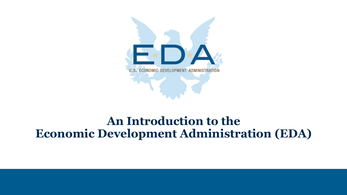

### **An Introduction to the Economic Development Administration (EDA)**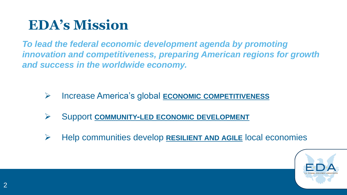## **EDA's Mission**

*To lead the federal economic development agenda by promoting innovation and competitiveness, preparing American regions for growth and success in the worldwide economy.*

- ➢ Increase America's global **ECONOMIC COMPETITIVENESS**
- ➢ Support **COMMUNITY-LED ECONOMIC DEVELOPMENT**
- ➢ Help communities develop **RESILIENT AND AGILE** local economies

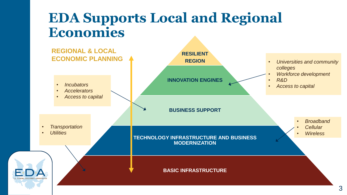### **EDA Supports Local and Regional Economies**

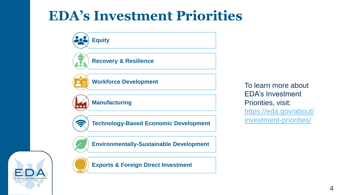## **EDA's Investment Priorities**





**Exports & Foreign Direct Investment**

To learn more about EDA's Investment Priorities, visit: https://eda.gov/about/ [investment-priorities/](https://eda.gov/about/investment-priorities/)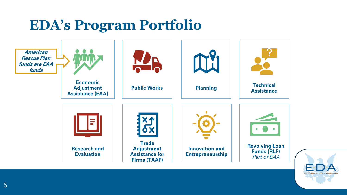## **EDA's Program Portfolio**



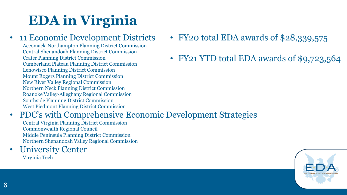# **EDA in Virginia**

### • 11 Economic Development Districts

Accomack-Northampton Planning District Commission Central Shenandoah Planning District Commission Crater Planning District Commission Cumberland Plateau Planning District Commission Lenowisco Planning District Commission Mount Rogers Planning District Commission New River Valley Regional Commission Northern Neck Planning District Commission Roanoke Valley-Alleghany Regional Commission Southside Planning District Commission West Piedmont Planning District Commission

- FY20 total EDA awards of \$28,339,575
- FY21 YTD total EDA awards of \$9,723,564

### • PDC's with Comprehensive Economic Development Strategies

Central Virginia Planning District Commission Commonwealth Regional Council Middle Peninsula Planning District Commission Northern Shenandoah Valley Regional Commission

#### **University Center** Virginia Tech

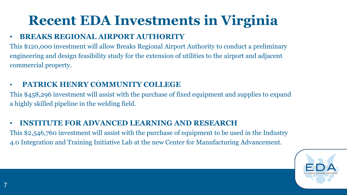# **Recent EDA Investments in Virginia**

#### • **BREAKS REGIONAL AIRPORT AUTHORITY**

This \$120,000 investment will allow Breaks Regional Airport Authority to conduct a preliminary engineering and design feasibility study for the extension of utilities to the airport and adjacent commercial property.

#### • **PATRICK HENRY COMMUNITY COLLEGE**

This \$458,296 investment will assist with the purchase of fixed equipment and supplies to expand a highly skilled pipeline in the welding field.

#### • **INSTITUTE FOR ADVANCED LEARNING AND RESEARCH**

This \$2,546,760 investment will assist with the purchase of equipment to be used in the Industry 4.0 Integration and Training Initiative Lab at the new Center for Manufacturing Advancement.

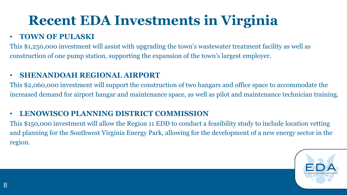# **Recent EDA Investments in Virginia**

#### • **TOWN OF PULASKI**

This \$1,250,000 investment will assist with upgrading the town's wastewater treatment facility as well as construction of one pump station, supporting the expansion of the town's largest employer.

#### • **SHENANDOAH REGIONAL AIRPORT**

This \$2,060,000 investment will support the construction of two hangars and office space to accommodate the increased demand for airport hangar and maintenance space, as well as pilot and maintenance technician training.

#### • **LENOWISCO PLANNING DISTRICT COMMISSION**

This \$150,000 investment will allow the Region 11 EDD to conduct a feasibility study to include location vetting and planning for the Southwest Virginia Energy Park, allowing for the development of a new energy sector in the region.

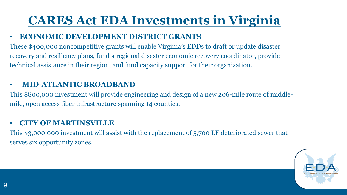### **CARES Act EDA Investments in Virginia**

#### • **ECONOMIC DEVELOPMENT DISTRICT GRANTS**

These \$400,000 noncompetitive grants will enable Virginia's EDDs to draft or update disaster recovery and resiliency plans, fund a regional disaster economic recovery coordinator, provide technical assistance in their region, and fund capacity support for their organization.

#### • **MID-ATLANTIC BROADBAND**

This \$800,000 investment will provide engineering and design of a new 206-mile route of middlemile, open access fiber infrastructure spanning 14 counties.

#### • **CITY OF MARTINSVILLE**

This \$3,000,000 investment will assist with the replacement of 5,700 LF deteriorated sewer that serves six opportunity zones.

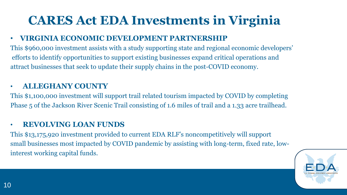## **CARES Act EDA Investments in Virginia**

#### • **VIRGINIA ECONOMIC DEVELOPMENT PARTNERSHIP**

This \$960,000 investment assists with a study supporting state and regional economic developers' efforts to identify opportunities to support existing businesses expand critical operations and attract businesses that seek to update their supply chains in the post-COVID economy.

#### • **ALLEGHANY COUNTY**

This \$1,100,000 investment will support trail related tourism impacted by COVID by completing Phase 5 of the Jackson River Scenic Trail consisting of 1.6 miles of trail and a 1.33 acre trailhead.

#### • **REVOLVING LOAN FUNDS**

This \$13,175,920 investment provided to current EDA RLF's noncompetitively will support small businesses most impacted by COVID pandemic by assisting with long-term, fixed rate, lowinterest working capital funds.

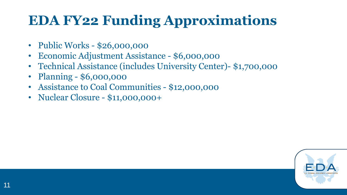# **EDA FY22 Funding Approximations**

- Public Works \$26,000,000
- Economic Adjustment Assistance \$6,000,000
- Technical Assistance (includes University Center)- \$1,700,000
- Planning \$6,000,000
- Assistance to Coal Communities \$12,000,000
- Nuclear Closure \$11,000,000+

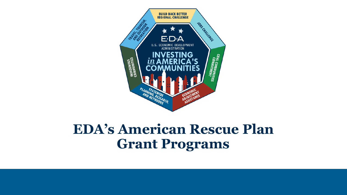

## **EDA's American Rescue Plan Grant Programs**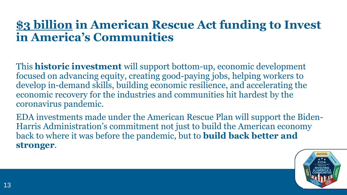### **\$3 billion in American Rescue Act funding to Invest in America's Communities**

This **historic investment** will support bottom-up, economic development focused on advancing equity, creating good-paying jobs, helping workers to develop in-demand skills, building economic resilience, and accelerating the economic recovery for the industries and communities hit hardest by the coronavirus pandemic.

EDA investments made under the American Rescue Plan will support the Biden-Harris Administration's commitment not just to build the American economy back to where it was before the pandemic, but to **build back better and stronger**.

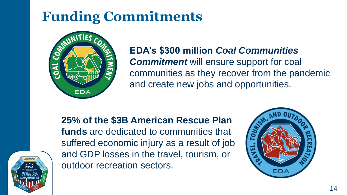# **Funding Commitments**



### **EDA's \$300 million** *Coal Communities Commitment* will ensure support for coal communities as they recover from the pandemic and create new jobs and opportunities.



### **25% of the \$3B American Rescue Plan funds** are dedicated to communities that suffered economic injury as a result of job

and GDP losses in the travel, tourism, or outdoor recreation sectors.

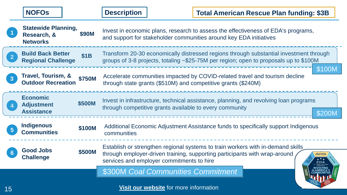|                | <b>NOFOS</b>                                                 |               | <b>Description</b>                                                                                                                                                                                         |                                        |                                                         | <b>Total American Rescue Plan funding: \$3B</b>                                       |        |
|----------------|--------------------------------------------------------------|---------------|------------------------------------------------------------------------------------------------------------------------------------------------------------------------------------------------------------|----------------------------------------|---------------------------------------------------------|---------------------------------------------------------------------------------------|--------|
|                | <b>Statewide Planning,</b><br>Research, &<br><b>Networks</b> | \$90M         | Invest in economic plans, research to assess the effectiveness of EDA's programs,<br>and support for stakeholder communities around key EDA initiatives                                                    |                                        |                                                         |                                                                                       |        |
| 2 <sup>2</sup> | <b>Build Back Better</b><br><b>Regional Challenge</b>        | <b>\$1B</b>   | Transform 20-30 economically distressed regions through substantial investment through<br>groups of 3-8 projects, totaling ~\$25-75M per region; open to proposals up to \$100M                            |                                        |                                                         |                                                                                       |        |
| $\mathbf{3}$   | Travel, Tourism, &<br><b>Outdoor Recreation</b>              | <b>\$750M</b> | \$100M<br>Accelerate communities impacted by COVID-related travel and tourism decline<br>through state grants (\$510M) and competitive grants (\$240M)                                                     |                                        |                                                         |                                                                                       |        |
|                | <b>Economic</b><br><b>Adjustment</b><br><b>Assistance</b>    | \$500M        |                                                                                                                                                                                                            |                                        | through competitive grants available to every community | Invest in infrastructure, technical assistance, planning, and revolving loan programs | \$200M |
|                | <b>Indigenous</b><br><b>Communities</b>                      | \$100M        | Additional Economic Adjustment Assistance funds to specifically support Indigenous<br>communities                                                                                                          |                                        |                                                         |                                                                                       |        |
|                | <b>Good Jobs</b><br><b>Challenge</b>                         | \$500M        | Establish or strengthen regional systems to train workers with in-demand skills<br>through employer-driven training, supporting participants with wrap-around<br>services and employer commitments to hire |                                        |                                                         |                                                                                       |        |
|                |                                                              |               |                                                                                                                                                                                                            | \$300M Coal Communities Commitment     |                                                         |                                                                                       |        |
| 15             |                                                              |               |                                                                                                                                                                                                            | Visit our website for more information |                                                         |                                                                                       |        |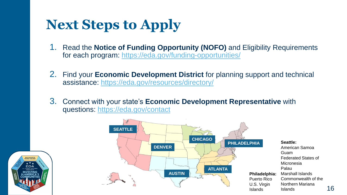# **Next Steps to Apply**

- 1. Read the **Notice of Funding Opportunity (NOFO)** and Eligibility Requirements for each program:<https://eda.gov/funding-opportunities/>
- 2. Find your **Economic Development District** for planning support and technical assistance:<https://eda.gov/resources/directory/>
- 3. Connect with your state's **Economic Development Representative** with questions:<https://eda.gov/contact>



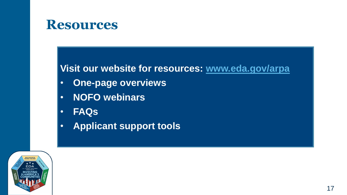### **Resources**

### **Visit our website for resources: [www.eda.gov/arpa](https://eda.gov/arpa/)**

- **One-page overviews**
- **NOFO webinars**
- **FAQs**
- **Applicant support tools**